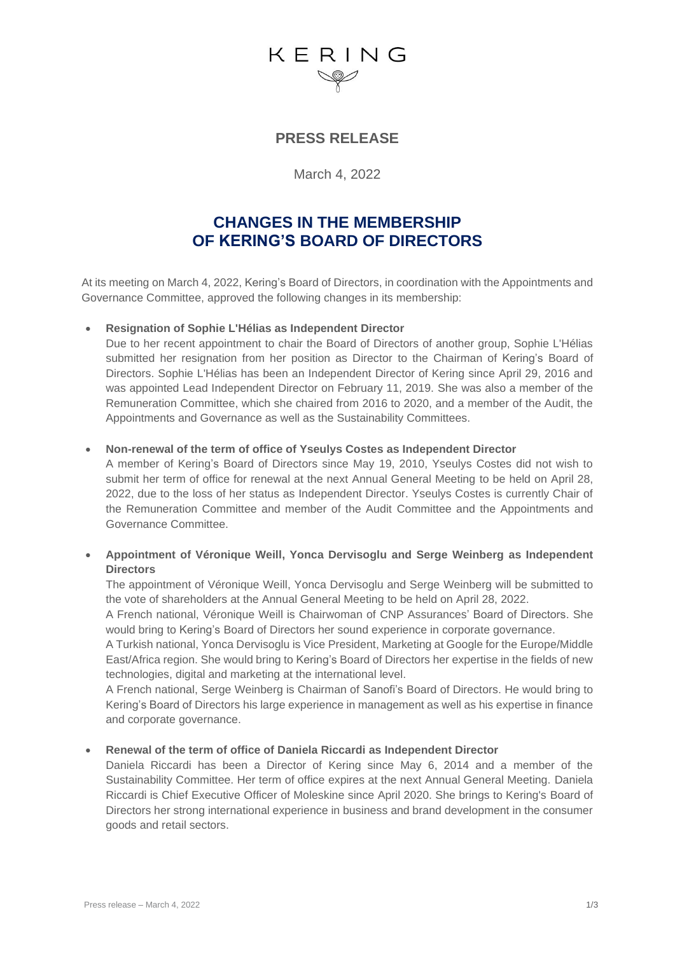# KERING

# **PRESS RELEASE**

March 4, 2022

# **CHANGES IN THE MEMBERSHIP OF KERING'S BOARD OF DIRECTORS**

At its meeting on March 4, 2022, Kering's Board of Directors, in coordination with the Appointments and Governance Committee, approved the following changes in its membership:

# • **Resignation of Sophie L'Hélias as Independent Director**

Due to her recent appointment to chair the Board of Directors of another group, Sophie L'Hélias submitted her resignation from her position as Director to the Chairman of Kering's Board of Directors. Sophie L'Hélias has been an Independent Director of Kering since April 29, 2016 and was appointed Lead Independent Director on February 11, 2019. She was also a member of the Remuneration Committee, which she chaired from 2016 to 2020, and a member of the Audit, the Appointments and Governance as well as the Sustainability Committees.

### • **Non-renewal of the term of office of Yseulys Costes as Independent Director**

A member of Kering's Board of Directors since May 19, 2010, Yseulys Costes did not wish to submit her term of office for renewal at the next Annual General Meeting to be held on April 28, 2022, due to the loss of her status as Independent Director. Yseulys Costes is currently Chair of the Remuneration Committee and member of the Audit Committee and the Appointments and Governance Committee.

# • **Appointment of Véronique Weill, Yonca Dervisoglu and Serge Weinberg as Independent Directors**

The appointment of Véronique Weill, Yonca Dervisoglu and Serge Weinberg will be submitted to the vote of shareholders at the Annual General Meeting to be held on April 28, 2022.

A French national, Véronique Weill is Chairwoman of CNP Assurances' Board of Directors. She would bring to Kering's Board of Directors her sound experience in corporate governance.

A Turkish national, Yonca Dervisoglu is Vice President, Marketing at Google for the Europe/Middle East/Africa region. She would bring to Kering's Board of Directors her expertise in the fields of new technologies, digital and marketing at the international level.

A French national, Serge Weinberg is Chairman of Sanofi's Board of Directors. He would bring to Kering's Board of Directors his large experience in management as well as his expertise in finance and corporate governance.

# • **Renewal of the term of office of Daniela Riccardi as Independent Director**

Daniela Riccardi has been a Director of Kering since May 6, 2014 and a member of the Sustainability Committee. Her term of office expires at the next Annual General Meeting. Daniela Riccardi is Chief Executive Officer of Moleskine since April 2020. She brings to Kering's Board of Directors her strong international experience in business and brand development in the consumer goods and retail sectors.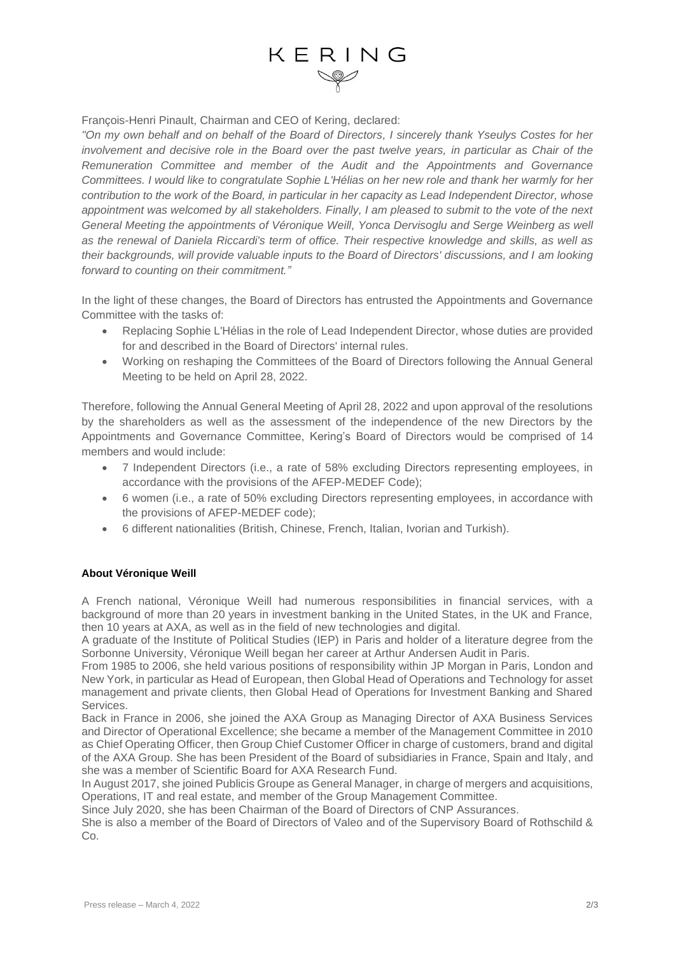François-Henri Pinault, Chairman and CEO of Kering, declared:

*"On my own behalf and on behalf of the Board of Directors, I sincerely thank Yseulys Costes for her involvement and decisive role in the Board over the past twelve years, in particular as Chair of the Remuneration Committee and member of the Audit and the Appointments and Governance Committees. I would like to congratulate Sophie L'Hélias on her new role and thank her warmly for her contribution to the work of the Board, in particular in her capacity as Lead Independent Director, whose appointment was welcomed by all stakeholders. Finally, I am pleased to submit to the vote of the next General Meeting the appointments of Véronique Weill, Yonca Dervisoglu and Serge Weinberg as well as the renewal of Daniela Riccardi's term of office. Their respective knowledge and skills, as well as their backgrounds, will provide valuable inputs to the Board of Directors' discussions, and I am looking forward to counting on their commitment."*

In the light of these changes, the Board of Directors has entrusted the Appointments and Governance Committee with the tasks of:

- Replacing Sophie L'Hélias in the role of Lead Independent Director, whose duties are provided for and described in the Board of Directors' internal rules.
- Working on reshaping the Committees of the Board of Directors following the Annual General Meeting to be held on April 28, 2022.

Therefore, following the Annual General Meeting of April 28, 2022 and upon approval of the resolutions by the shareholders as well as the assessment of the independence of the new Directors by the Appointments and Governance Committee, Kering's Board of Directors would be comprised of 14 members and would include:

- 7 Independent Directors (i.e., a rate of 58% excluding Directors representing employees, in accordance with the provisions of the AFEP-MEDEF Code);
- 6 women (i.e., a rate of 50% excluding Directors representing employees, in accordance with the provisions of AFEP-MEDEF code);
- 6 different nationalities (British, Chinese, French, Italian, Ivorian and Turkish).

# **About Véronique Weill**

A French national, Véronique Weill had numerous responsibilities in financial services, with a background of more than 20 years in investment banking in the United States, in the UK and France, then 10 years at AXA, as well as in the field of new technologies and digital.

A graduate of the Institute of Political Studies (IEP) in Paris and holder of a literature degree from the Sorbonne University, Véronique Weill began her career at Arthur Andersen Audit in Paris.

From 1985 to 2006, she held various positions of responsibility within JP Morgan in Paris, London and New York, in particular as Head of European, then Global Head of Operations and Technology for asset management and private clients, then Global Head of Operations for Investment Banking and Shared Services.

Back in France in 2006, she joined the AXA Group as Managing Director of AXA Business Services and Director of Operational Excellence; she became a member of the Management Committee in 2010 as Chief Operating Officer, then Group Chief Customer Officer in charge of customers, brand and digital of the AXA Group. She has been President of the Board of subsidiaries in France, Spain and Italy, and she was a member of Scientific Board for AXA Research Fund.

In August 2017, she joined Publicis Groupe as General Manager, in charge of mergers and acquisitions, Operations, IT and real estate, and member of the Group Management Committee.

Since July 2020, she has been Chairman of the Board of Directors of CNP Assurances.

She is also a member of the Board of Directors of Valeo and of the Supervisory Board of Rothschild & Co.